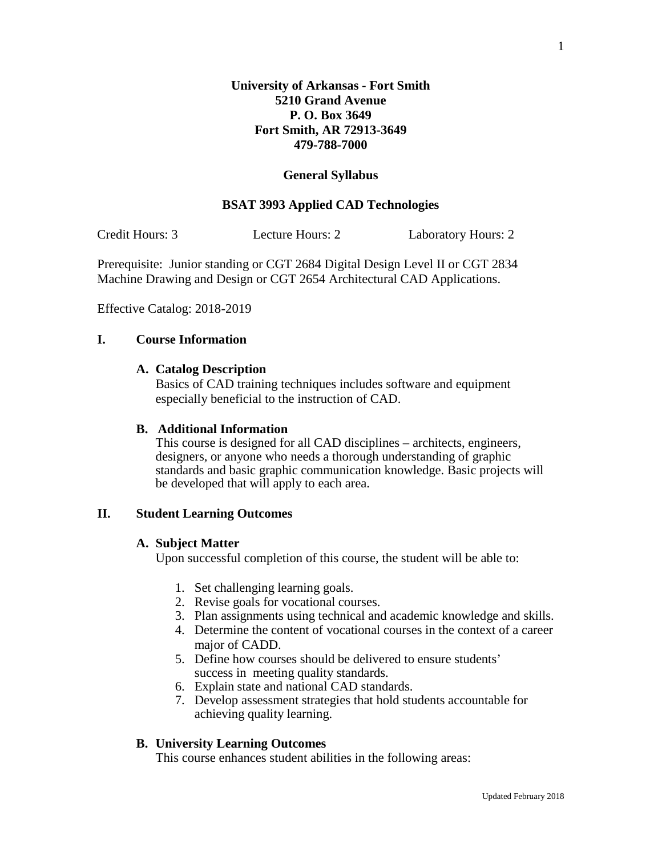## **General Syllabus**

## **BSAT 3993 Applied CAD Technologies**

Credit Hours: 3 Lecture Hours: 2 Laboratory Hours: 2

Prerequisite: Junior standing or CGT 2684 Digital Design Level II or CGT 2834 Machine Drawing and Design or CGT 2654 Architectural CAD Applications.

Effective Catalog: 2018-2019

## **I. Course Information**

### **A. Catalog Description**

Basics of CAD training techniques includes software and equipment especially beneficial to the instruction of CAD.

#### **B. Additional Information**

This course is designed for all CAD disciplines – architects, engineers, designers, or anyone who needs a thorough understanding of graphic standards and basic graphic communication knowledge. Basic projects will be developed that will apply to each area.

## **II. Student Learning Outcomes**

#### **A. Subject Matter**

Upon successful completion of this course, the student will be able to:

- 1. Set challenging learning goals.
- 2. Revise goals for vocational courses.
- 3. Plan assignments using technical and academic knowledge and skills.
- 4. Determine the content of vocational courses in the context of a career major of CADD.
- 5. Define how courses should be delivered to ensure students' success in meeting quality standards.
- 6. Explain state and national CAD standards.
- 7. Develop assessment strategies that hold students accountable for achieving quality learning.

## **B. University Learning Outcomes**

This course enhances student abilities in the following areas: